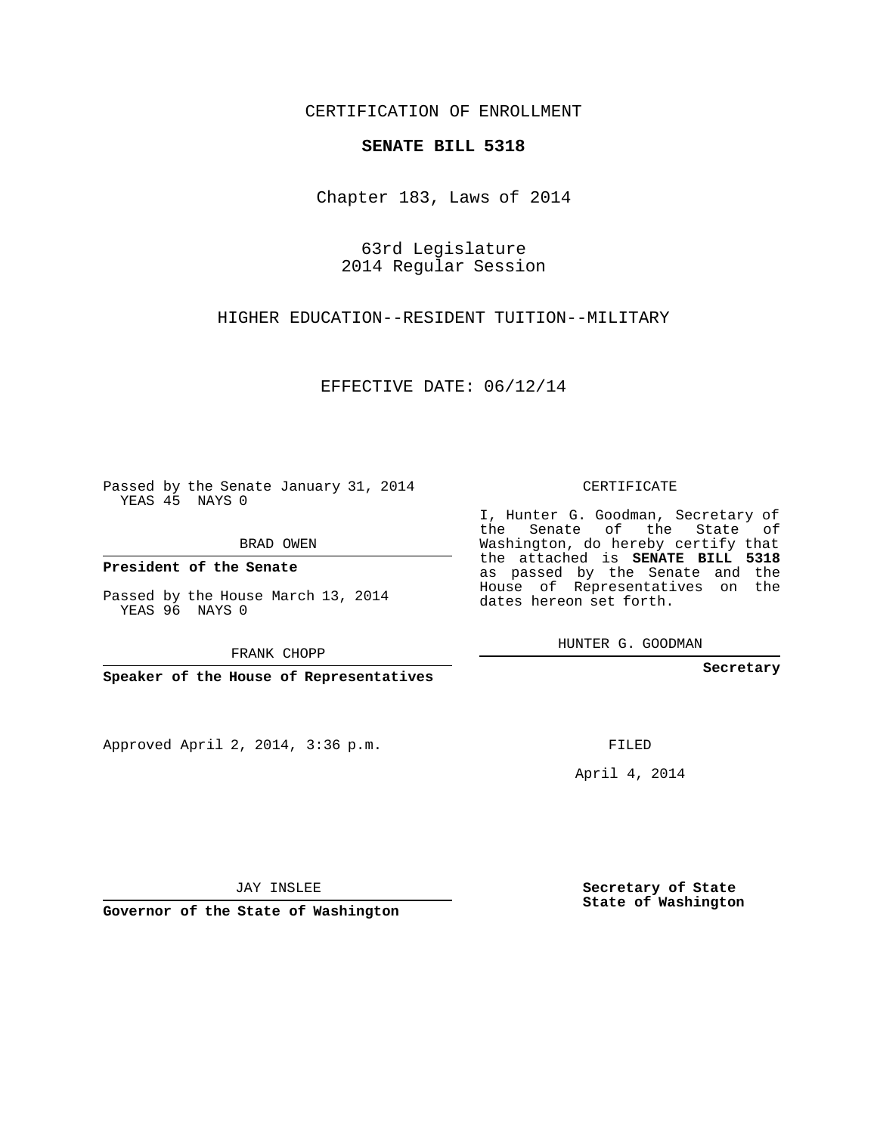## CERTIFICATION OF ENROLLMENT

#### **SENATE BILL 5318**

Chapter 183, Laws of 2014

63rd Legislature 2014 Regular Session

HIGHER EDUCATION--RESIDENT TUITION--MILITARY

EFFECTIVE DATE: 06/12/14

Passed by the Senate January 31, 2014 YEAS 45 NAYS 0

BRAD OWEN

**President of the Senate**

Passed by the House March 13, 2014 YEAS 96 NAYS 0

FRANK CHOPP

**Speaker of the House of Representatives**

Approved April 2, 2014, 3:36 p.m.

CERTIFICATE

I, Hunter G. Goodman, Secretary of the Senate of the State of Washington, do hereby certify that the attached is **SENATE BILL 5318** as passed by the Senate and the House of Representatives on the dates hereon set forth.

HUNTER G. GOODMAN

**Secretary**

FILED

April 4, 2014

**Secretary of State State of Washington**

JAY INSLEE

**Governor of the State of Washington**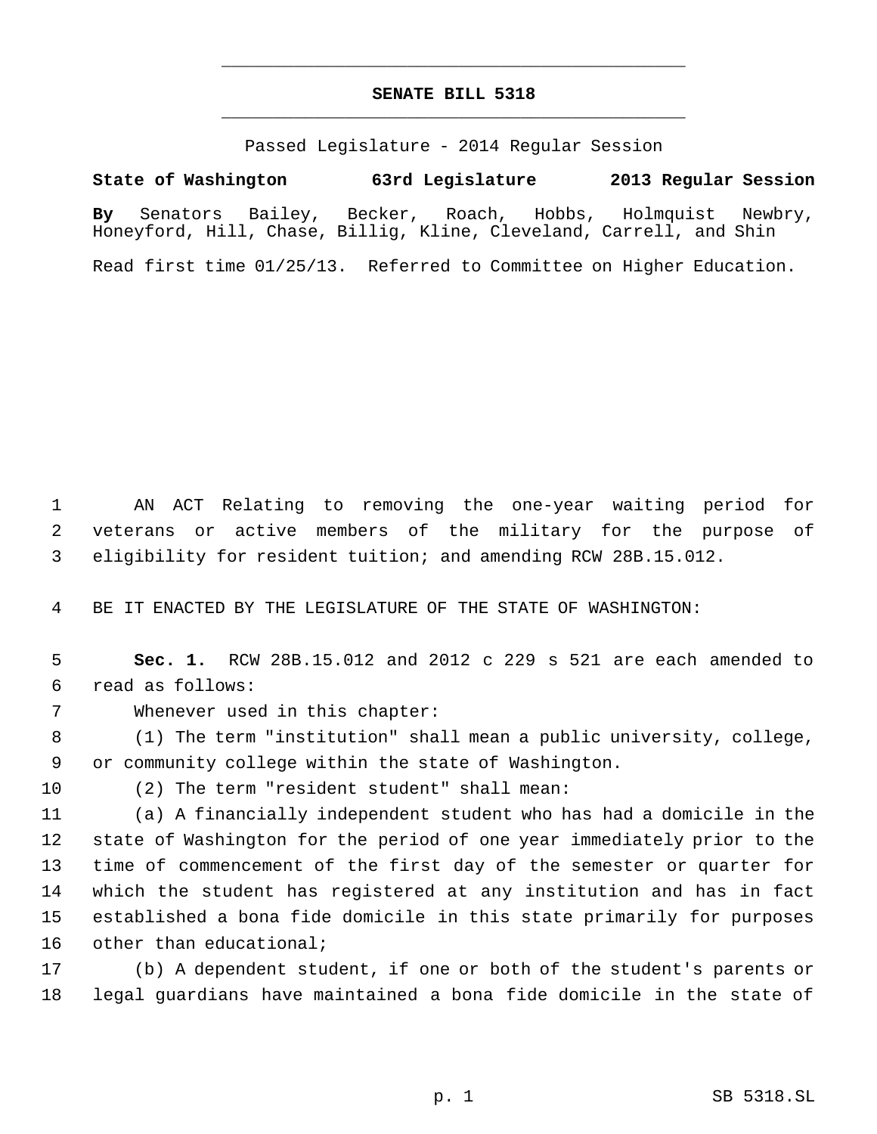# **SENATE BILL 5318** \_\_\_\_\_\_\_\_\_\_\_\_\_\_\_\_\_\_\_\_\_\_\_\_\_\_\_\_\_\_\_\_\_\_\_\_\_\_\_\_\_\_\_\_\_

\_\_\_\_\_\_\_\_\_\_\_\_\_\_\_\_\_\_\_\_\_\_\_\_\_\_\_\_\_\_\_\_\_\_\_\_\_\_\_\_\_\_\_\_\_

Passed Legislature - 2014 Regular Session

## **State of Washington 63rd Legislature 2013 Regular Session**

**By** Senators Bailey, Becker, Roach, Hobbs, Holmquist Newbry, Honeyford, Hill, Chase, Billig, Kline, Cleveland, Carrell, and Shin

Read first time 01/25/13. Referred to Committee on Higher Education.

 AN ACT Relating to removing the one-year waiting period for veterans or active members of the military for the purpose of eligibility for resident tuition; and amending RCW 28B.15.012.

BE IT ENACTED BY THE LEGISLATURE OF THE STATE OF WASHINGTON:

 **Sec. 1.** RCW 28B.15.012 and 2012 c 229 s 521 are each amended to read as follows:

Whenever used in this chapter:

 (1) The term "institution" shall mean a public university, college, or community college within the state of Washington.

(2) The term "resident student" shall mean:

 (a) A financially independent student who has had a domicile in the state of Washington for the period of one year immediately prior to the time of commencement of the first day of the semester or quarter for which the student has registered at any institution and has in fact established a bona fide domicile in this state primarily for purposes 16 other than educational;

 (b) A dependent student, if one or both of the student's parents or legal guardians have maintained a bona fide domicile in the state of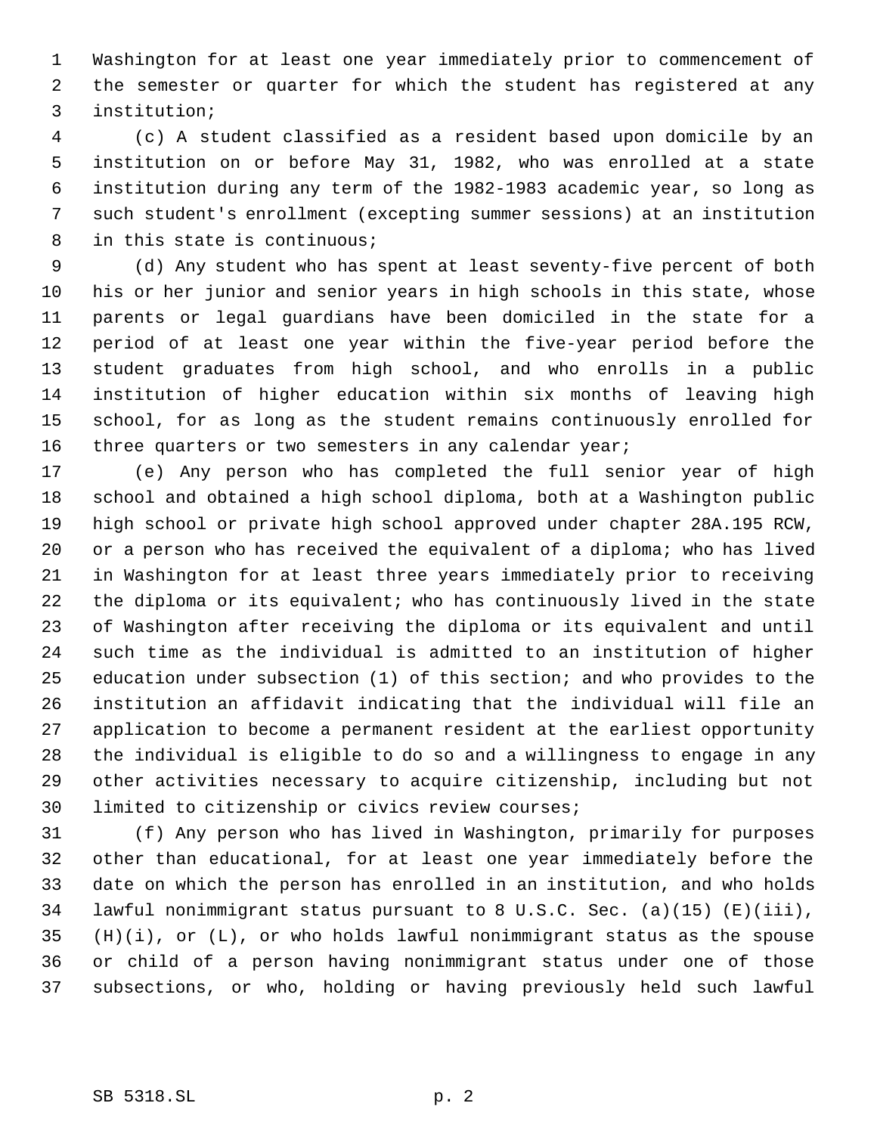Washington for at least one year immediately prior to commencement of the semester or quarter for which the student has registered at any institution;

 (c) A student classified as a resident based upon domicile by an institution on or before May 31, 1982, who was enrolled at a state institution during any term of the 1982-1983 academic year, so long as such student's enrollment (excepting summer sessions) at an institution in this state is continuous;

 (d) Any student who has spent at least seventy-five percent of both his or her junior and senior years in high schools in this state, whose parents or legal guardians have been domiciled in the state for a period of at least one year within the five-year period before the student graduates from high school, and who enrolls in a public institution of higher education within six months of leaving high school, for as long as the student remains continuously enrolled for 16 three quarters or two semesters in any calendar year;

 (e) Any person who has completed the full senior year of high school and obtained a high school diploma, both at a Washington public high school or private high school approved under chapter 28A.195 RCW, or a person who has received the equivalent of a diploma; who has lived in Washington for at least three years immediately prior to receiving the diploma or its equivalent; who has continuously lived in the state of Washington after receiving the diploma or its equivalent and until such time as the individual is admitted to an institution of higher education under subsection (1) of this section; and who provides to the institution an affidavit indicating that the individual will file an application to become a permanent resident at the earliest opportunity the individual is eligible to do so and a willingness to engage in any other activities necessary to acquire citizenship, including but not limited to citizenship or civics review courses;

 (f) Any person who has lived in Washington, primarily for purposes other than educational, for at least one year immediately before the date on which the person has enrolled in an institution, and who holds lawful nonimmigrant status pursuant to 8 U.S.C. Sec. (a)(15) (E)(iii), (H)(i), or (L), or who holds lawful nonimmigrant status as the spouse or child of a person having nonimmigrant status under one of those subsections, or who, holding or having previously held such lawful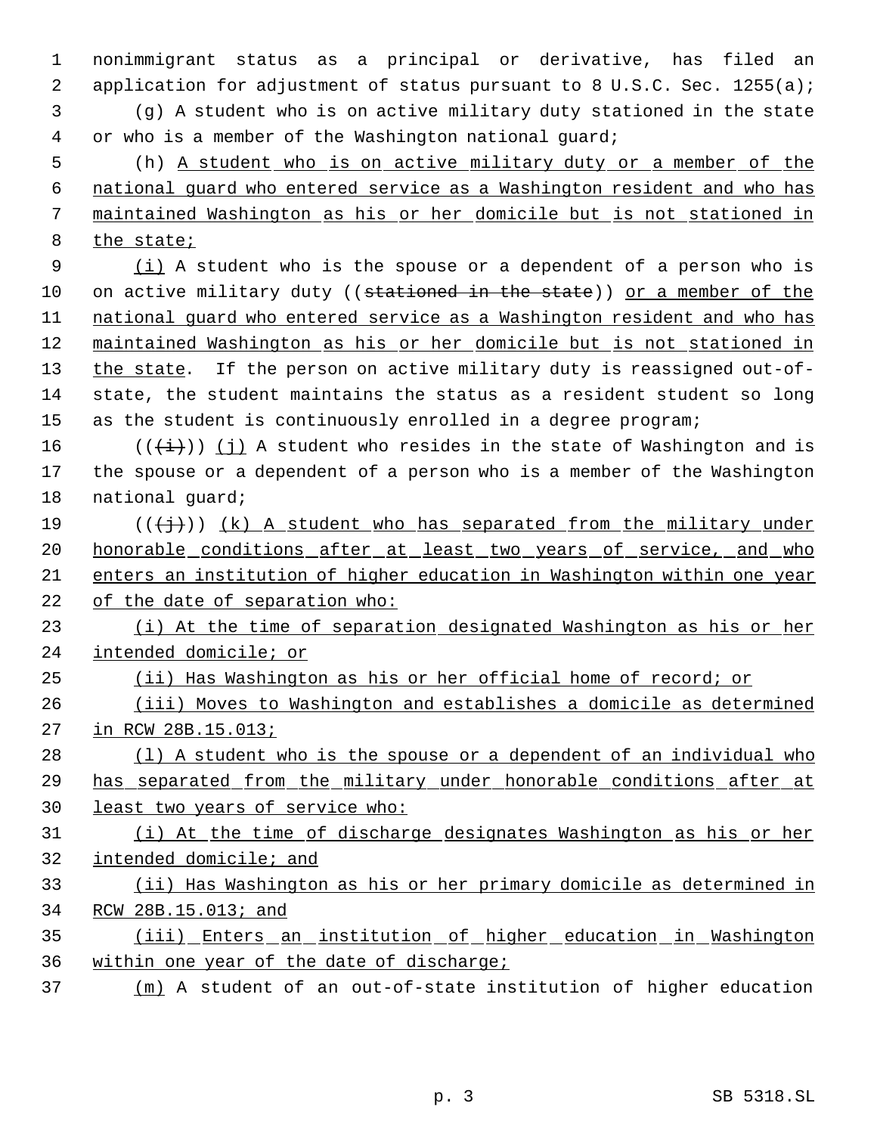nonimmigrant status as a principal or derivative, has filed an 2 application for adjustment of status pursuant to 8 U.S.C. Sec. 1255(a); (g) A student who is on active military duty stationed in the state or who is a member of the Washington national guard; (h) A student who is on active military duty or a member of the national guard who entered service as a Washington resident and who has maintained Washington as his or her domicile but is not stationed in the state;  $(i)$  A student who is the spouse or a dependent of a person who is 10 on active military duty ((stationed in the state)) or a member of the 11 national guard who entered service as a Washington resident and who has maintained Washington as his or her domicile but is not stationed in 13 the state. If the person on active military duty is reassigned out-of-14 state, the student maintains the status as a resident student so long as the student is continuously enrolled in a degree program; 16 ( $(\{\pm\})$ ) (j) A student who resides in the state of Washington and is the spouse or a dependent of a person who is a member of the Washington national guard; 19 ( $(\{\dagger\})$ ) (k) A student who has separated from the military under 20 honorable conditions after at least two years of service, and who enters an institution of higher education in Washington within one year of the date of separation who: 23 (i) At the time of separation designated Washington as his or her intended domicile; or (ii) Has Washington as his or her official home of record; or (iii) Moves to Washington and establishes a domicile as determined in RCW 28B.15.013; 28 (1) A student who is the spouse or a dependent of an individual who has separated from the military under honorable conditions after at least two years of service who: (i) At the time of discharge designates Washington as his or her intended domicile; and (ii) Has Washington as his or her primary domicile as determined in RCW 28B.15.013; and (iii) Enters an institution of higher education in Washington within one year of the date of discharge;

(m) A student of an out-of-state institution of higher education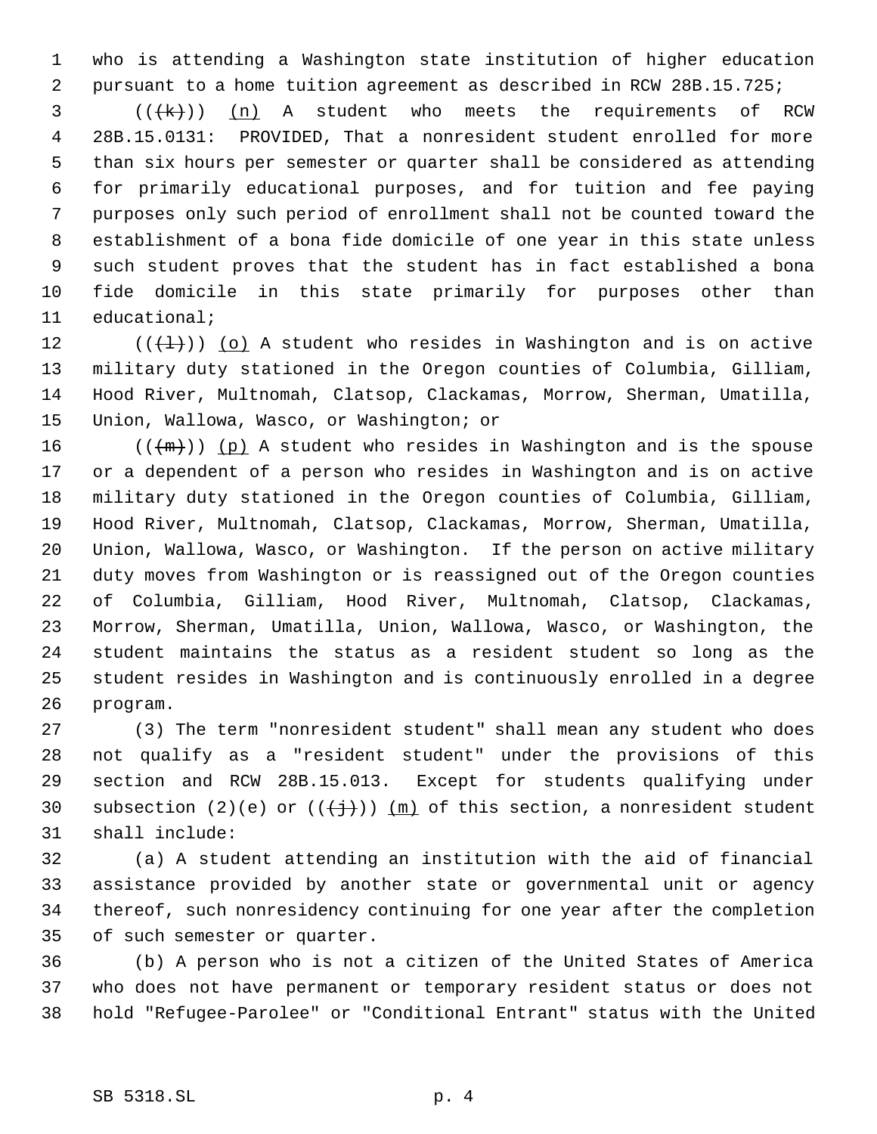who is attending a Washington state institution of higher education pursuant to a home tuition agreement as described in RCW 28B.15.725;

 ( $(\forall k)$ ) (n) A student who meets the requirements of RCW 28B.15.0131: PROVIDED, That a nonresident student enrolled for more than six hours per semester or quarter shall be considered as attending for primarily educational purposes, and for tuition and fee paying purposes only such period of enrollment shall not be counted toward the establishment of a bona fide domicile of one year in this state unless such student proves that the student has in fact established a bona fide domicile in this state primarily for purposes other than educational;

 $((+1))$  (o) A student who resides in Washington and is on active military duty stationed in the Oregon counties of Columbia, Gilliam, Hood River, Multnomah, Clatsop, Clackamas, Morrow, Sherman, Umatilla, Union, Wallowa, Wasco, or Washington; or

16 ( $(\langle m \rangle)$  (p) A student who resides in Washington and is the spouse or a dependent of a person who resides in Washington and is on active military duty stationed in the Oregon counties of Columbia, Gilliam, Hood River, Multnomah, Clatsop, Clackamas, Morrow, Sherman, Umatilla, Union, Wallowa, Wasco, or Washington. If the person on active military duty moves from Washington or is reassigned out of the Oregon counties of Columbia, Gilliam, Hood River, Multnomah, Clatsop, Clackamas, Morrow, Sherman, Umatilla, Union, Wallowa, Wasco, or Washington, the student maintains the status as a resident student so long as the student resides in Washington and is continuously enrolled in a degree program.

 (3) The term "nonresident student" shall mean any student who does not qualify as a "resident student" under the provisions of this section and RCW 28B.15.013. Except for students qualifying under 30 subsection (2)(e) or  $((+\frac{1}{2})^2)$  (m) of this section, a nonresident student shall include:

 (a) A student attending an institution with the aid of financial assistance provided by another state or governmental unit or agency thereof, such nonresidency continuing for one year after the completion of such semester or quarter.

 (b) A person who is not a citizen of the United States of America who does not have permanent or temporary resident status or does not hold "Refugee-Parolee" or "Conditional Entrant" status with the United

## SB 5318.SL p. 4